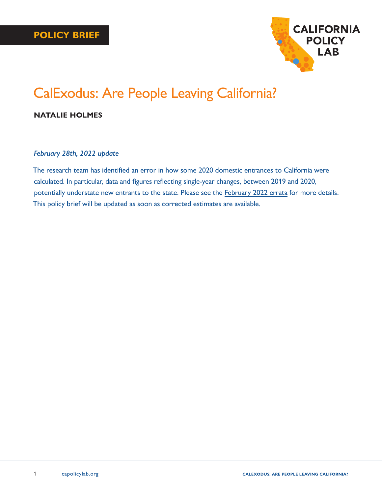

# CalExodus: Are People Leaving California?

## **NATALIE HOLMES**

### *February 28th, 2022 update*

The research team has identified an error in how some 2020 domestic entrances to California were calculated. In particular, data and figures reflecting single-year changes, between 2019 and 2020, potentially understate new entrants to the state. Please see the [February 2022 errata](https://www.capolicylab.org/wp-content/uploads/2022/02/California-Policy-Lab-February-2022-Errata.pdf) for more details. This policy brief will be updated as soon as corrected estimates are available.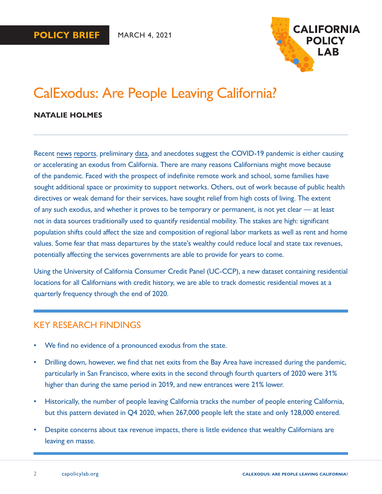

# CalExodus: Are People Leaving California?

### **NATALIE HOLMES**

Recent [news](https://www.latimes.com/california/story/2021-01-12/california-exodus-intensifying-retirees-musicians-teachers-actors) [reports](https://www.nytimes.com/2021/01/14/technology/san-francisco-covid-work-moving.html), preliminary [data,](https://www.zillow.com/research/2020-urb-suburb-market-report-27712/) and anecdotes suggest the COVID-19 pandemic is either causing or accelerating an exodus from California. There are many reasons Californians might move because of the pandemic. Faced with the prospect of indefinite remote work and school, some families have sought additional space or proximity to support networks. Others, out of work because of public health directives or weak demand for their services, have sought relief from high costs of living. The extent of any such exodus, and whether it proves to be temporary or permanent, is not yet clear — at least not in data sources traditionally used to quantify residential mobility. The stakes are high: significant population shifts could affect the size and composition of regional labor markets as well as rent and home values. Some fear that mass departures by the state's wealthy could reduce local and state tax revenues, potentially affecting the services governments are able to provide for years to come.

Using the University of California Consumer Credit Panel (UC-CCP), a new dataset containing residential locations for all Californians with credit history, we are able to track domestic residential moves at a quarterly frequency through the end of 2020.

## KEY RESEARCH FINDINGS

- We find no evidence of a pronounced exodus from the state.
- Drilling down, however, we find that net exits from the Bay Area have increased during the pandemic, particularly in San Francisco, where exits in the second through fourth quarters of 2020 were 31% higher than during the same period in 2019, and new entrances were 21% lower.
- Historically, the number of people leaving California tracks the number of people entering California, but this pattern deviated in Q4 2020, when 267,000 people left the state and only 128,000 entered.
- Despite concerns about tax revenue impacts, there is little evidence that wealthy Californians are leaving en masse.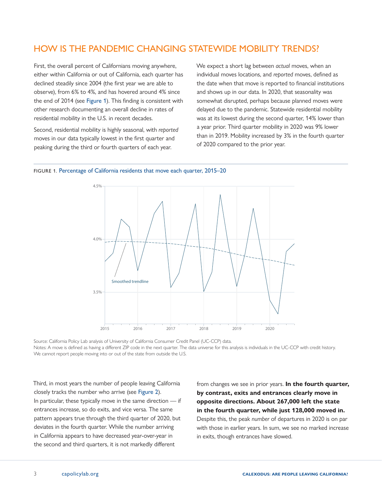## HOW IS THE PANDEMIC CHANGING STATEWIDE MOBILITY TRENDS?

First, the overall percent of Californians moving anywhere, either within California or out of California, each quarter has declined steadily since 2004 (the first year we are able to observe), from 6% to 4%, and has hovered around 4% since the end of 2014 (see Figure 1). This finding is consistent with other research documenting an overall decline in rates of residential mobility in the U.S. in recent decades.

Second, residential mobility is highly seasonal, with *reported*  moves in our data typically lowest in the first quarter and peaking during the third or fourth quarters of each year.

We expect a short lag between *actual* moves, when an individual moves locations, and *reported* moves, defined as the date when that move is reported to financial institutions and shows up in our data. In 2020, that seasonality was somewhat disrupted, perhaps because planned moves were delayed due to the pandemic. Statewide residential mobility was at its lowest during the second quarter, 14% lower than a year prior. Third quarter mobility in 2020 was 9% lower than in 2019. Mobility increased by 3% in the fourth quarter of 2020 compared to the prior year.





Source: California Policy Lab analysis of University of California Consumer Credit Panel (UC-CCP) data. Notes: A move is defined as having a different ZIP code in the next quarter. The data universe for this analysis is individuals in the UC-CCP with credit history. We cannot report people moving into or out of the state from outside the U.S.

Third, in most years the number of people leaving California closely tracks the number who arrive (see [Figure 2](#page-3-0)). In particular, these typically move in the same direction — if entrances increase, so do exits, and vice versa. The same pattern appears true through the third quarter of 2020, but deviates in the fourth quarter. While the number arriving in California appears to have decreased year-over-year in the second and third quarters, it is not markedly different

from changes we see in prior years. **In the fourth quarter, by contrast, exits and entrances clearly move in opposite directions. About 267,000 left the state in the fourth quarter, while just 128,000 moved in.**  Despite this, the peak *number* of departures in 2020 is on par with those in earlier years. In sum, we see no marked increase in exits, though entrances have slowed.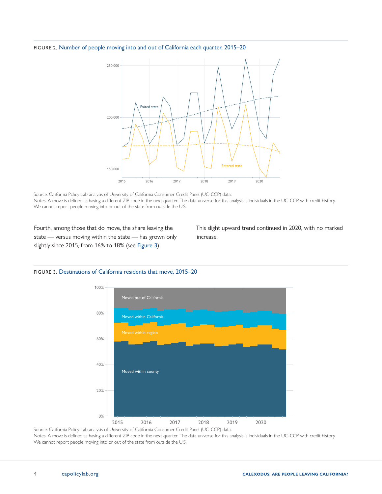#### <span id="page-3-0"></span>FIGURE 2. Number of people moving into and out of California each quarter, 2015–20



Source: California Policy Lab analysis of University of California Consumer Credit Panel (UC-CCP) data. Notes: A move is defined as having a different ZIP code in the next quarter. The data universe for this analysis is individuals in the UC-CCP with credit history. We cannot report people moving into or out of the state from outside the U.S.

Fourth, among those that do move, the share leaving the state — versus moving within the state — has grown only slightly since 2015, from 16% to 18% (see Figure 3).

This slight upward trend continued in 2020, with no marked increase.





Notes: A move is defined as having a different ZIP code in the next quarter. The data universe for this analysis is individuals in the UC-CCP with credit history. We cannot report people moving into or out of the state from outside the U.S.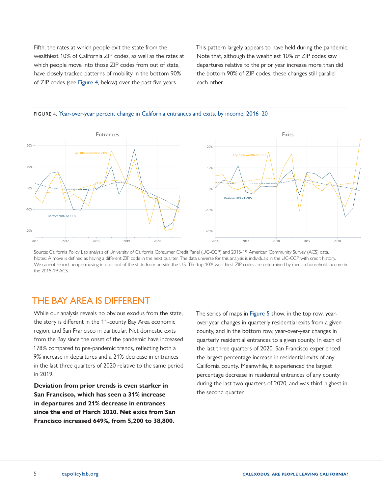<span id="page-4-0"></span>Fifth, the rates at which people exit the state from the wealthiest 10% of California ZIP codes, as well as the rates at which people move into those ZIP codes from out of state, have closely tracked patterns of mobility in the bottom 90% of ZIP codes (see Figure 4, below) over the past five years.

This pattern largely appears to have held during the pandemic. Note that, although the wealthiest 10% of ZIP codes saw departures relative to the prior year increase more than did the bottom 90% of ZIP codes, these changes still parallel each other.





Source: California Policy Lab analysis of University of California Consumer Credit Panel (UC-CCP) and 2015-19 American Community Survey (ACS) data. Notes: A move is defined as having a different ZIP code in the next quarter. The data universe for this analysis is individuals in the UC-CCP with credit history. We cannot report people moving into or out of the state from outside the U.S. The top 10% wealthiest ZIP codes are determined by median household income in the 2015-19 ACS.

## THE BAY AREA IS DIFFERENT

While our analysis reveals no obvious exodus from the state, the story is different in the 11-county Bay Area economic region, and San Francisco in particular. Net domestic exits from the Bay since the onset of the pandemic have increased 178% compared to pre-pandemic trends, reflecting both a 9% increase in departures and a 21% decrease in entrances in the last three quarters of 2020 relative to the same period in 2019.

**Deviation from prior trends is even starker in San Francisco, which has seen a 31% increase in departures and 21% decrease in entrances since the end of March 2020. Net exits from San Francisco increased 649%, from 5,200 to 38,800.**

The series of maps in Figure 5 show, in the top row, yearover-year changes in quarterly residential exits from a given county, and in the bottom row, year-over-year changes in quarterly residential entrances to a given county. In each of the last three quarters of 2020, San Francisco experienced the largest percentage increase in residential exits of any California county. Meanwhile, it experienced the largest percentage decrease in residential entrances of any county during the last two quarters of 2020, and was third-highest in the second quarter.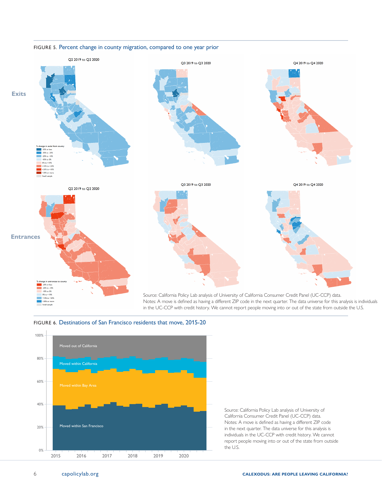

#### FIGURE 5. Percent change in county migration, compared to one year prior



FIGURE 6. Destinations of San Francisco residents that move, 2015-20

Source: California Policy Lab analysis of University of California Consumer Credit Panel (UC-CCP) data. Notes: A move is defined as having a different ZIP code in the next quarter. The data universe for this analysis is

individuals in the UC-CCP with credit history. We cannot report people moving into or out of the state from outside the U.S.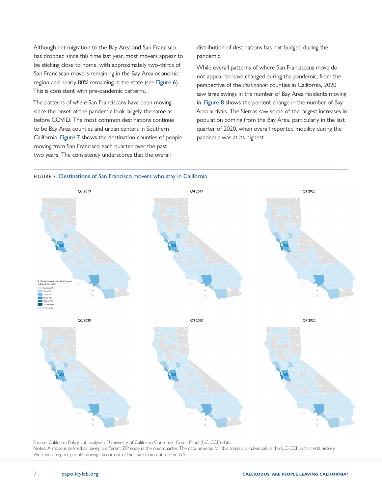Although net migration to the Bay Area and San Francisco has dropped since this time last year, most movers appear to be sticking close to home, with approximately two-thirds of San Franciscan movers remaining in the Bay Area economic region and nearly 80% remaining in the state (see [Figure](#page-4-0) 6). This is consistent with pre-pandemic patterns.

The patterns of *where* San Franciscans have been moving since the onset of the pandemic look largely the same as before COVID. The most common destinations continue to be Bay Area counties and urban centers in Southern California. [Figure](#page-4-0) 7 shows the destination counties of people moving from San Francisco each quarter over the past two years. The consistency underscores that the overall

distribution of destinations has not budged during the pandemic.

While overall patterns of where San Franciscans move do not appear to have changed during the pandemic, from the perspective of the *destination* counties in California, 2020 saw large swings in the number of Bay Area residents moving in. [Figure](#page-4-0) 8 shows the percent change in the number of Bay Area arrivals. The Sierras saw some of the largest increases in population coming from the Bay Area, particularly in the last quarter of 2020, when overall reported mobility during the pandemic was at its highest.





Source: California Policy Lab analysis of University of California Consumer Credit Panel (UC-CCP) data. Notes: A move is defined as having a different ZIP code in the next quarter. The data universe for this analysis is individuals in the UC-CCP with credit history. We cannot report people moving into or out of the state from outside the U.S.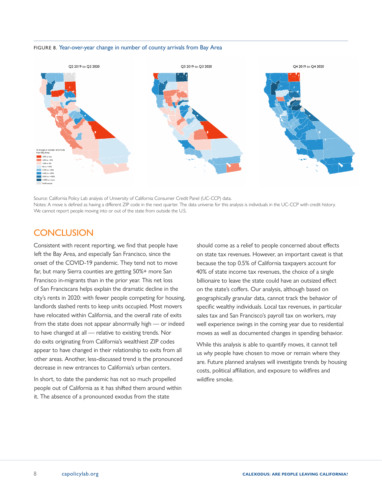#### FIGURE 8. Year-over-year change in number of county arrivals from Bay Area



Source: California Policy Lab analysis of University of California Consumer Credit Panel (UC-CCP) data. Notes: A move is defined as having a different ZIP code in the next quarter. The data universe for this analysis is individuals in the UC-CCP with credit history. We cannot report people moving into or out of the state from outside the U.S.

## **CONCLUSION**

Consistent with recent reporting, we find that people have left the Bay Area, and especially San Francisco, since the onset of the COVID-19 pandemic. They tend not to move far, but many Sierra counties are getting 50%+ more San Francisco in-migrants than in the prior year. This net loss of San Franciscans helps explain the dramatic decline in the city's rents in 2020: with fewer people competing for housing, landlords slashed rents to keep units occupied. Most movers have relocated within California, and the overall rate of exits from the state does not appear abnormally high — or indeed to have changed at all — relative to existing trends. Nor do exits originating from California's wealthiest ZIP codes appear to have changed in their relationship to exits from all other areas. Another, less-discussed trend is the pronounced decrease in new entrances to California's urban centers.

In short, to date the pandemic has not so much propelled people out of California as it has shifted them around within it. The absence of a pronounced exodus from the state

should come as a relief to people concerned about effects on state tax revenues. However, an important caveat is that because the top 0.5% of California taxpayers account for 40% of state income tax revenues, the choice of a single billionaire to leave the state could have an outsized effect on the state's coffers. Our analysis, although based on geographically granular data, cannot track the behavior of specific wealthy individuals. Local tax revenues, in particular sales tax and San Francisco's payroll tax on workers, may well experience swings in the coming year due to residential moves as well as documented changes in spending behavior.

While this analysis is able to quantify moves, it cannot tell us *why* people have chosen to move or remain where they are. Future planned analyses will investigate trends by housing costs, political affiliation, and exposure to wildfires and wildfire smoke.